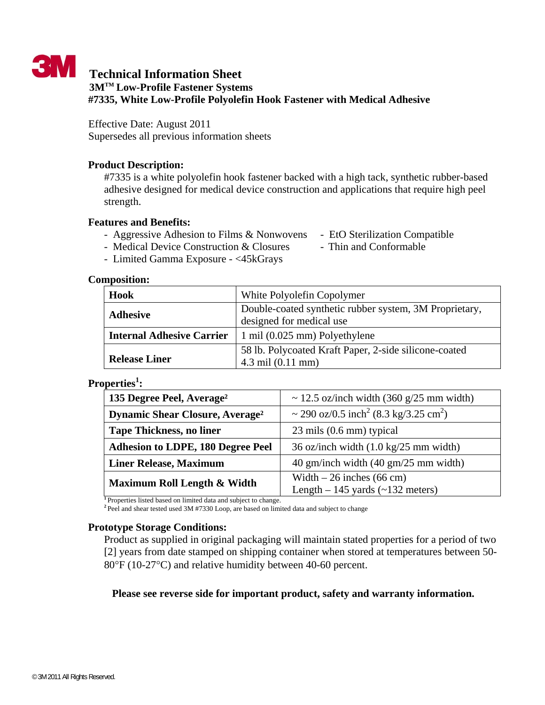

# **Technical Information Sheet 3MTM Low-Profile Fastener Systems #7335, White Low-Profile Polyolefin Hook Fastener with Medical Adhesive**

Effective Date: August 2011 Supersedes all previous information sheets

## **Product Description:**

#7335 is a white polyolefin hook fastener backed with a high tack, synthetic rubber-based adhesive designed for medical device construction and applications that require high peel strength.

## **Features and Benefits:**

- Aggressive Adhesion to Films & Nonwovens EtO Sterilization Compatible
- Medical Device Construction & Closures Thin and Conformable
- Limited Gamma Exposure <45kGrays

## **Composition:**

| Hook                             | White Polyolefin Copolymer                                                                   |  |
|----------------------------------|----------------------------------------------------------------------------------------------|--|
| <b>Adhesive</b>                  | Double-coated synthetic rubber system, 3M Proprietary,<br>designed for medical use           |  |
| <b>Internal Adhesive Carrier</b> | $\mid$ 1 mil (0.025 mm) Polyethylene                                                         |  |
| <b>Release Liner</b>             | 58 lb. Polycoated Kraft Paper, 2-side silicone-coated<br>$4.3 \text{ mil} (0.11 \text{ mm})$ |  |

# **Properties<sup>1</sup> :**

| 135 Degree Peel, Average <sup>2</sup>             | ~ 12.5 oz/inch width $(360 \text{ g}/25 \text{ mm}$ width)    |
|---------------------------------------------------|---------------------------------------------------------------|
| <b>Dynamic Shear Closure, Average<sup>2</sup></b> | ~ 290 oz/0.5 inch <sup>2</sup> (8.3 kg/3.25 cm <sup>2</sup> ) |
| <b>Tape Thickness, no liner</b>                   | $23 \text{ miles } (0.6 \text{ mm})$ typical                  |
| <b>Adhesion to LDPE, 180 Degree Peel</b>          | 36 oz/inch width $(1.0 \text{ kg}/25 \text{ mm width})$       |
| <b>Liner Release, Maximum</b>                     | 40 gm/inch width (40 gm/25 mm width)                          |
| Maximum Roll Length & Width                       | Width $-26$ inches (66 cm)                                    |
|                                                   | Length $-145$ yards ( $\sim$ 132 meters)                      |

<sup>1</sup>Properties listed based on limited data and subject to change.

<sup>2</sup>Peel and shear tested used 3M #7330 Loop, are based on limited data and subject to change

#### **Prototype Storage Conditions:**

Product as supplied in original packaging will maintain stated properties for a period of two [2] years from date stamped on shipping container when stored at temperatures between 50- 80°F (10-27°C) and relative humidity between 40-60 percent.

# **Please see reverse side for important product, safety and warranty information.**